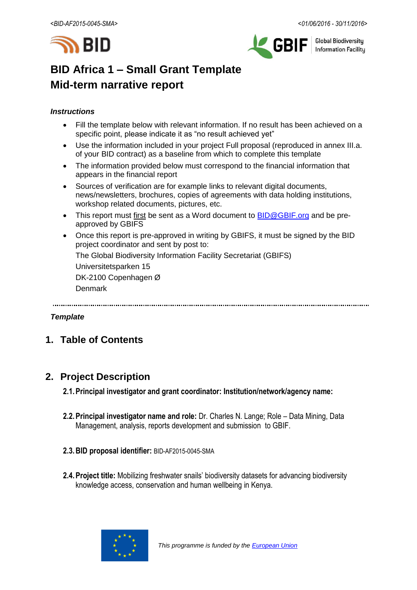



**Global Biodiversity Information Facility** 

# **BID Africa 1 – Small Grant Template Mid-term narrative report**

### *Instructions*

- Fill the template below with relevant information. If no result has been achieved on a specific point, please indicate it as "no result achieved yet"
- Use the information included in your project Full proposal (reproduced in annex III.a. of your BID contract) as a baseline from which to complete this template
- The information provided below must correspond to the financial information that appears in the financial report
- Sources of verification are for example links to relevant digital documents, news/newsletters, brochures, copies of agreements with data holding institutions, workshop related documents, pictures, etc.
- This report must first be sent as a Word document to **BID@GBIF.org** and be preapproved by GBIFS
- Once this report is pre-approved in writing by GBIFS, it must be signed by the BID project coordinator and sent by post to:

The Global Biodiversity Information Facility Secretariat (GBIFS)

Universitetsparken 15

DK-2100 Copenhagen Ø

Denmark

#### *Template*

# **1. Table of Contents**

# **2. Project Description**

- **2.1.Principal investigator and grant coordinator: Institution/network/agency name:**
- **2.2.Principal investigator name and role:** Dr. Charles N. Lange; Role Data Mining, Data Management, analysis, reports development and submission to GBIF.
- **2.3.BID proposal identifier:** BID-AF2015-0045-SMA
- **2.4.Project title:** Mobilizing freshwater snails' biodiversity datasets for advancing biodiversity knowledge access, conservation and human wellbeing in Kenya.

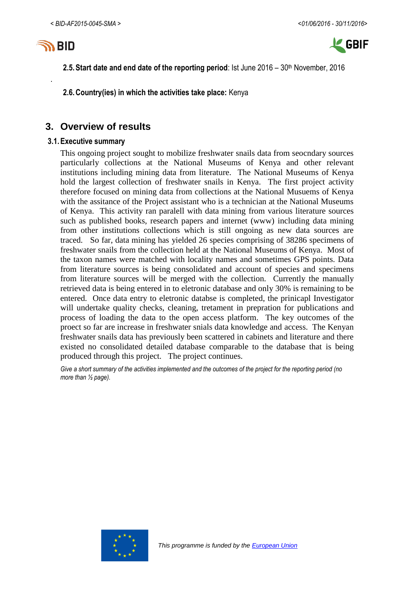

.



**2.5. Start date and end date of the reporting period: Ist June 2016 – 30<sup>th</sup> November, 2016** 

**2.6.Country(ies) in which the activities take place:** Kenya

# **3. Overview of results**

#### **3.1.Executive summary**

This ongoing project sought to mobilize freshwater snails data from seocndary sources particularly collections at the National Museums of Kenya and other relevant institutions including mining data from literature. The National Museums of Kenya hold the largest collection of freshwater snails in Kenya. The first project activity therefore focused on mining data from collections at the National Musuems of Kenya with the assitance of the Project assistant who is a technician at the National Museums of Kenya. This activity ran paralell with data mining from various literature sources such as published books, research papers and internet (www) including data mining from other institutions collections which is still ongoing as new data sources are traced. So far, data mining has yielded 26 species comprising of 38286 specimens of freshwater snails from the collection held at the National Museums of Kenya. Most of the taxon names were matched with locality names and sometimes GPS points. Data from literature sources is being consolidated and account of species and specimens from literature sources will be merged with the collection. Currently the manually retrieved data is being entered in to eletronic database and only 30% is remaining to be entered. Once data entry to eletronic databse is completed, the prinicapl Investigator will undertake quality checks, cleaning, tretament in prepration for publications and process of loading the data to the open access platform. The key outcomes of the proect so far are increase in freshwater snials data knowledge and access. The Kenyan freshwater snails data has previously been scattered in cabinets and literature and there existed no consolidated detailed database comparable to the database that is being produced through this project. The project continues.

*Give a short summary of the activities implemented and the outcomes of the project for the reporting period (no more than ½ page).*

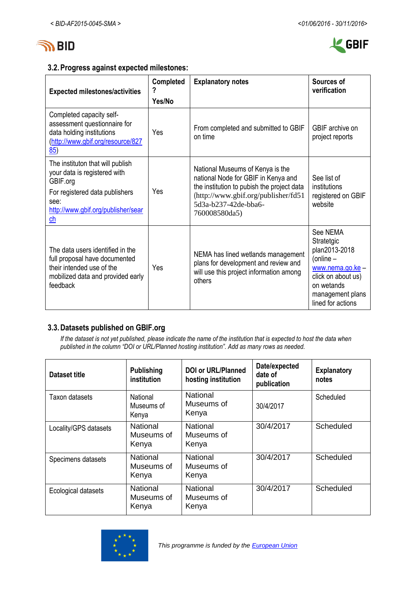



## **3.2.Progress against expected milestones:**

| <b>Expected milestones/activities</b>                                                                                                                                                     | <b>Completed</b><br>Yes/No | <b>Explanatory notes</b>                                                                                                                                                                              | Sources of<br>verification                                                                                                                                   |
|-------------------------------------------------------------------------------------------------------------------------------------------------------------------------------------------|----------------------------|-------------------------------------------------------------------------------------------------------------------------------------------------------------------------------------------------------|--------------------------------------------------------------------------------------------------------------------------------------------------------------|
| Completed capacity self-<br>assessment questionnaire for<br>data holding institutions<br>(http://www.gbif.org/resource/827<br>85)                                                         | Yes                        | From completed and submitted to GBIF<br>on time                                                                                                                                                       | GBIF archive on<br>project reports                                                                                                                           |
| The instituton that will publish<br>your data is registered with<br>GBIF.org<br>For registered data publishers<br>see:<br>http://www.gbif.org/publisher/sear<br>$\underline{\mathsf{ch}}$ | Yes                        | National Museums of Kenya is the<br>national Node for GBIF in Kenya and<br>the institution to pubish the project data<br>(http://www.gbif.org/publisher/fd51<br>5d3a-b237-42de-bba6-<br>760008580da5) | See list of<br>institutions<br>registered on GBIF<br>website                                                                                                 |
| The data users identified in the<br>full proposal have documented<br>their intended use of the<br>mobilized data and provided early<br>feedback                                           | Yes                        | NEMA has lined wetlands management<br>plans for development and review and<br>will use this project information among<br>others                                                                       | See NEMA<br>Stratetgic<br>plan2013-2018<br>(online $-$<br>$www. nema. go. ke -$<br>click on about us)<br>on wetands<br>management plans<br>lined for actions |

# **3.3.Datasets published on GBIF.org**

*If the dataset is not yet published, please indicate the name of the institution that is expected to host the data when published in the column "DOI or URL/Planned hosting institution". Add as many rows as needed.*

| Dataset title         | <b>Publishing</b><br>institution       | <b>DOI or URL/Planned</b><br>hosting institution | Date/expected<br>date of<br>publication | <b>Explanatory</b><br>notes |
|-----------------------|----------------------------------------|--------------------------------------------------|-----------------------------------------|-----------------------------|
| <b>Taxon datasets</b> | National<br>Museums of<br>Kenya        | National<br>Museums of<br>Kenya                  | 30/4/2017                               | Scheduled                   |
| Locality/GPS datasets | <b>National</b><br>Museums of<br>Kenya | National<br>Museums of<br>Kenya                  | 30/4/2017                               | Scheduled                   |
| Specimens datasets    | <b>National</b><br>Museums of<br>Kenya | National<br>Museums of<br>Kenya                  | 30/4/2017                               | Scheduled                   |
| Ecological datasets   | <b>National</b><br>Museums of<br>Kenya | National<br>Museums of<br>Kenya                  | 30/4/2017                               | Scheduled                   |

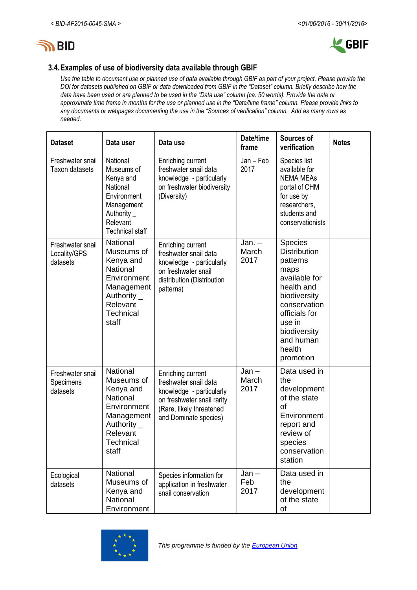



# **3.4.Examples of use of biodiversity data available through GBIF**

*Use the table to document use or planned use of data available through GBIF as part of your project. Please provide the DOI for datasets published on GBIF or data downloaded from GBIF in the "Dataset" column. Briefly describe how the data have been used or are planned to be used in the "Data use" column (ca. 50 words). Provide the date or approximate time frame in months for the use or planned use in the "Date/time frame" column. Please provide links to any documents or webpages documenting the use in the "Sources of verification" column. Add as many rows as needed.*

| <b>Dataset</b>                               | Data user                                                                                                                                      | Data use                                                                                                                                                  | Date/time<br>frame        | Sources of<br>verification                                                                                                                                                                       | <b>Notes</b> |
|----------------------------------------------|------------------------------------------------------------------------------------------------------------------------------------------------|-----------------------------------------------------------------------------------------------------------------------------------------------------------|---------------------------|--------------------------------------------------------------------------------------------------------------------------------------------------------------------------------------------------|--------------|
| Freshwater snail<br>Taxon datasets           | National<br>Museums of<br>Kenya and<br>National<br>Environment<br>Management<br>Authority $\_$<br>Relevant<br><b>Technical staff</b>           | Enriching current<br>freshwater snail data<br>knowledge - particularly<br>on freshwater biodiversity<br>(Diversity)                                       | $Jan - Feb$<br>2017       | Species list<br>available for<br><b>NEMA MEAs</b><br>portal of CHM<br>for use by<br>researchers,<br>students and<br>conservationists                                                             |              |
| Freshwater snail<br>Locality/GPS<br>datasets | National<br>Museums of<br>Kenya and<br><b>National</b><br>Environment<br>Management<br>Authority $\_$<br>Relevant<br><b>Technical</b><br>staff | Enriching current<br>freshwater snail data<br>knowledge - particularly<br>on freshwater snail<br>distribution (Distribution<br>patterns)                  | $Jan. -$<br>March<br>2017 | Species<br><b>Distribution</b><br>patterns<br>maps<br>available for<br>health and<br>biodiversity<br>conservation<br>officials for<br>use in<br>biodiversity<br>and human<br>health<br>promotion |              |
| Freshwater snail<br>Specimens<br>datasets    | National<br>Museums of<br>Kenya and<br>National<br>Environment<br>Management<br>Authority $_{-}$<br>Relevant<br>Technical<br>staff             | Enriching current<br>freshwater snail data<br>knowledge - particularly<br>on freshwater snail rarity<br>(Rare, likely threatened<br>and Dominate species) | $Jan -$<br>March<br>2017  | Data used in<br>the<br>development<br>of the state<br>of<br>Environment<br>report and<br>review of<br>species<br>conservation<br>station                                                         |              |
| Ecological<br>datasets                       | National<br>Museums of<br>Kenya and<br>National<br>Environment                                                                                 | Species information for<br>application in freshwater<br>snail conservation                                                                                | $Jan -$<br>Feb<br>2017    | Data used in<br>the<br>development<br>of the state<br>of                                                                                                                                         |              |

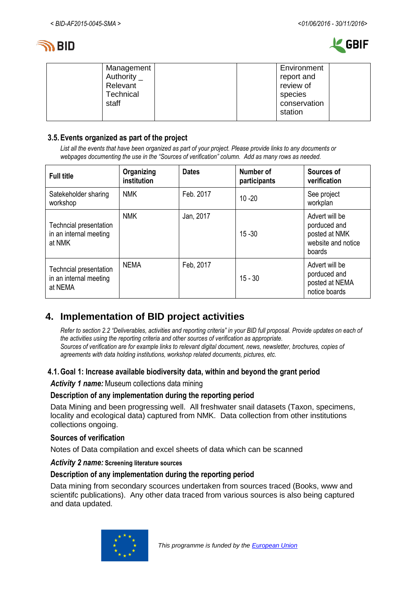



| Management<br>Authority $_{-}$<br>Relevant<br>Technical<br>staff | Environment<br>report and<br>review of<br>species<br>conservation |  |
|------------------------------------------------------------------|-------------------------------------------------------------------|--|
|                                                                  | station                                                           |  |

### **3.5.Events organized as part of the project**

*List all the events that have been organized as part of your project. Please provide links to any documents or webpages documenting the use in the "Sources of verification" column. Add as many rows as needed.*

| <b>Full title</b>                                           | Organizing<br>institution | <b>Dates</b> | Number of<br>participants | Sources of<br>verification                                                      |
|-------------------------------------------------------------|---------------------------|--------------|---------------------------|---------------------------------------------------------------------------------|
| Satekeholder sharing<br>workshop                            | <b>NMK</b>                | Feb. 2017    | $10 - 20$                 | See project<br>workplan                                                         |
| Techncial presentation<br>in an internal meeting<br>at NMK  | <b>NMK</b>                | Jan, 2017    | $15 - 30$                 | Advert will be<br>porduced and<br>posted at NMK<br>website and notice<br>boards |
| Techncial presentation<br>in an internal meeting<br>at NEMA | NEMA                      | Feb, 2017    | $15 - 30$                 | Advert will be<br>porduced and<br>posted at NEMA<br>notice boards               |

# **4. Implementation of BID project activities**

*Refer to section 2.2 "Deliverables, activities and reporting criteria" in your BID full proposal. Provide updates on each of the activities using the reporting criteria and other sources of verification as appropriate. Sources of verification are for example links to relevant digital document, news, newsletter, brochures, copies of agreements with data holding institutions, workshop related documents, pictures, etc.*

## **4.1.Goal 1: Increase available biodiversity data, within and beyond the grant period**

*Activity 1 name:* Museum collections data mining

#### **Description of any implementation during the reporting period**

Data Mining and been progressing well. All freshwater snail datasets (Taxon, specimens, locality and ecological data) captured from NMK. Data collection from other institutions collections ongoing.

#### **Sources of verification**

Notes of Data compilation and excel sheets of data which can be scanned

#### *Activity 2 name:* **Screening literature sources**

#### **Description of any implementation during the reporting period**

Data mining from secondary scources undertaken from sources traced (Books, www and scientifc publications). Any other data traced from various sources is also being captured and data updated.

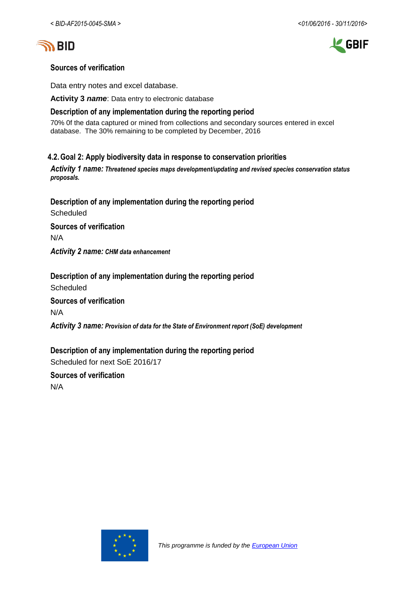





# **Sources of verification**

Data entry notes and excel database.

**Activity 3** *name*: Data entry to electronic database

### **Description of any implementation during the reporting period**

70% 0f the data captured or mined from collections and secondary sources entered in excel database. The 30% remaining to be completed by December, 2016

## **4.2.Goal 2: Apply biodiversity data in response to conservation priorities**

*Activity 1 name: Threatened species maps development/updating and revised species conservation status proposals.*

**Description of any implementation during the reporting period Scheduled Sources of verification** N/A

*Activity 2 name: CHM data enhancement*

**Description of any implementation during the reporting period Scheduled Sources of verification**

N/A

*Activity 3 name: Provision of data for the State of Environment report (SoE) development*

**Description of any implementation during the reporting period** Scheduled for next SoE 2016/17

**Sources of verification** N/A

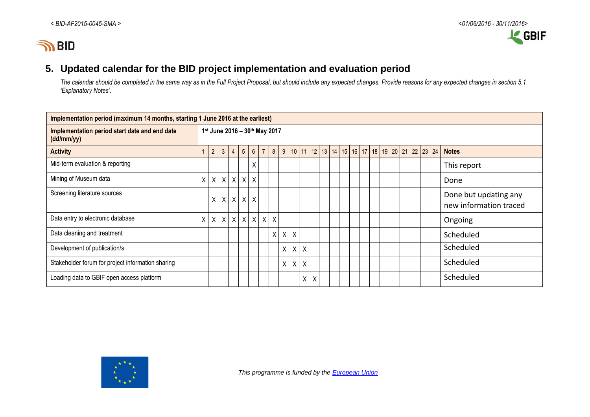

# **5. Updated calendar for the BID project implementation and evaluation period**

*The calendar should be completed in the same way as in the Full Project Proposal, but should include any expected changes. Provide reasons for any expected changes in section 5.1 'Explanatory Notes'.*

| Implementation period (maximum 14 months, starting 1 June 2016 at the earliest) |   |                               |              |                |                |  |                 |                |         |              |              |              |                                                                          |  |  |  |  |  |  |  |                                                 |
|---------------------------------------------------------------------------------|---|-------------------------------|--------------|----------------|----------------|--|-----------------|----------------|---------|--------------|--------------|--------------|--------------------------------------------------------------------------|--|--|--|--|--|--|--|-------------------------------------------------|
| Implementation period start date and end date<br>(dd/mm/yy)                     |   | 1st June 2016 - 30th May 2017 |              |                |                |  |                 |                |         |              |              |              |                                                                          |  |  |  |  |  |  |  |                                                 |
| <b>Activity</b>                                                                 |   | $\overline{2}$                | 3            | $\overline{4}$ | 5 <sub>5</sub> |  | $6\overline{6}$ | $\overline{7}$ | $\bf 8$ | 9            |              |              | 10   11   12   13   14   15   16   17   18   19   20   21   22   23   24 |  |  |  |  |  |  |  | <b>Notes</b>                                    |
| Mid-term evaluation & reporting                                                 |   |                               |              |                |                |  | X               |                |         |              |              |              |                                                                          |  |  |  |  |  |  |  | This report                                     |
| Mining of Museum data                                                           | X | X                             | $\mathsf{X}$ |                | $X$ $X$ $X$    |  |                 |                |         |              |              |              |                                                                          |  |  |  |  |  |  |  | Done                                            |
| Screening literature sources                                                    |   | X                             | X            |                | $X$ $X$ $X$    |  |                 |                |         |              |              |              |                                                                          |  |  |  |  |  |  |  | Done but updating any<br>new information traced |
| Data entry to electronic database                                               | X | X                             | $\mathsf{X}$ |                |                |  |                 |                | X X X X |              |              |              |                                                                          |  |  |  |  |  |  |  | Ongoing                                         |
| Data cleaning and treatment                                                     |   |                               |              |                |                |  |                 |                | X       | $\mathsf{X}$ | $\sf X$      |              |                                                                          |  |  |  |  |  |  |  | Scheduled                                       |
| Development of publication/s                                                    |   |                               |              |                |                |  |                 |                |         | X            | X            | X            |                                                                          |  |  |  |  |  |  |  | Scheduled                                       |
| Stakeholder forum for project information sharing                               |   |                               |              |                |                |  |                 |                |         | Χ            | $\pmb{\chi}$ | X            |                                                                          |  |  |  |  |  |  |  | Scheduled                                       |
| Loading data to GBIF open access platform                                       |   |                               |              |                |                |  |                 |                |         |              |              | $\mathsf{X}$ | $\boldsymbol{\mathsf{X}}$                                                |  |  |  |  |  |  |  | Scheduled                                       |



 *This programme is funded by the [European Union](http://europa.eu/)*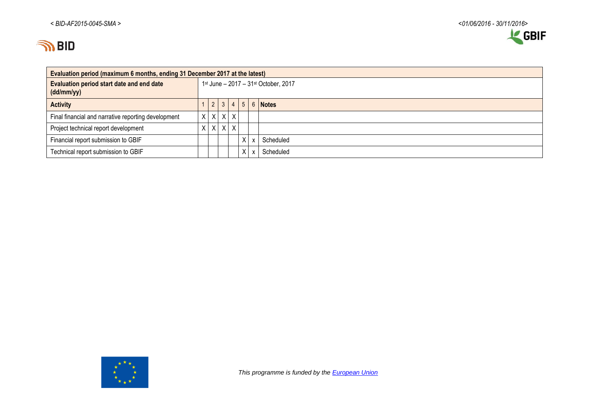

| Evaluation period (maximum 6 months, ending 31 December 2017 at the latest) |                                      |  |                     |              |  |              |           |  |  |  |  |  |
|-----------------------------------------------------------------------------|--------------------------------------|--|---------------------|--------------|--|--------------|-----------|--|--|--|--|--|
| Evaluation period start date and end date<br>(dd/mm/yy)                     | 1st June - 2017 - 31st October, 2017 |  |                     |              |  |              |           |  |  |  |  |  |
| <b>Activity</b>                                                             |                                      |  | $ 2 3 4 5 6 $ Notes |              |  |              |           |  |  |  |  |  |
| Final financial and narrative reporting development                         |                                      |  | $X$ $X$ $X$         | $\times$     |  |              |           |  |  |  |  |  |
| Project technical report development                                        |                                      |  | $X$ $X$ $X$         | $\mathsf{X}$ |  |              |           |  |  |  |  |  |
| Financial report submission to GBIF                                         |                                      |  |                     |              |  | $\mathsf{x}$ | Scheduled |  |  |  |  |  |
| Technical report submission to GBIF                                         |                                      |  |                     |              |  | $\mathsf{x}$ | Scheduled |  |  |  |  |  |

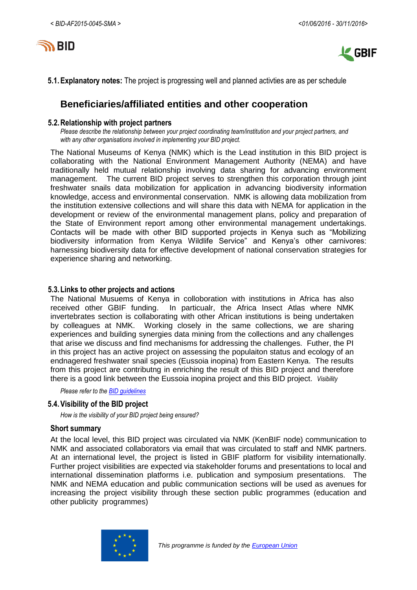



**5.1.Explanatory notes:** The project is progressing well and planned activties are as per schedule

# **Beneficiaries/affiliated entities and other cooperation**

#### **5.2.Relationship with project partners**

*Please describe the relationship between your project coordinating team/institution and your project partners, and with any other organisations involved in implementing your BID project.*

The National Museums of Kenya (NMK) which is the Lead institution in this BID project is collaborating with the National Environment Management Authority (NEMA) and have traditionally held mutual relationship involving data sharing for advancing environment management. The current BID project serves to strengthen this corporation through joint freshwater snails data mobilization for application in advancing biodiversity information knowledge, access and environmental conservation. NMK is allowing data mobilization from the institution extensive collections and will share this data with NEMA for application in the development or review of the environmental management plans, policy and preparation of the State of Environment report among other environmental management undertakings. Contacts will be made with other BID supported projects in Kenya such as "Mobilizing biodiversity information from Kenya Wildlife Service" and Kenya's other carnivores: harnessing biodiversity data for effective development of national conservation strategies for experience sharing and networking.

#### **5.3.Links to other projects and actions**

The National Musuems of Kenya in colloboration with institutions in Africa has also received other GBIF funding. In particualr, the Africa Insect Atlas where NMK invertebrates section is collaborating with other African institutions is being undertaken by colleagues at NMK. Working closely in the same collections, we are sharing experiences and building synergies data mining from the collections and any challenges that arise we discuss and find mechanisms for addressing the challenges. Futher, the PI in this project has an active project on assessing the populaiton status and ecology of an endnagered freshwater snail species (Eussoia inopina) from Eastern Kenya. The results from this project are contributng in enriching the result of this BID project and therefore there is a good link between the Eussoia inopina project and this BID project. *Visibility*

*Please refer to th[e BID guidelines](http://bid.gbif.org/en/community/communication-guidelines/)*

#### **5.4.Visibility of the BID project**

*How is the visibility of your BID project being ensured?*

#### **Short summary**

At the local level, this BID project was circulated via NMK (KenBIF node) communication to NMK and associated collaborators via email that was circulated to staff and NMK partners. At an international level, the project is listed in GBIF platform for visibility internationally. Further project visibilities are expected via stakeholder forums and presentations to local and international dissemination platforms i.e. publication and symposium presentations. The NMK and NEMA education and public communication sections will be used as avenues for increasing the project visibility through these section public programmes (education and other publicity programmes)